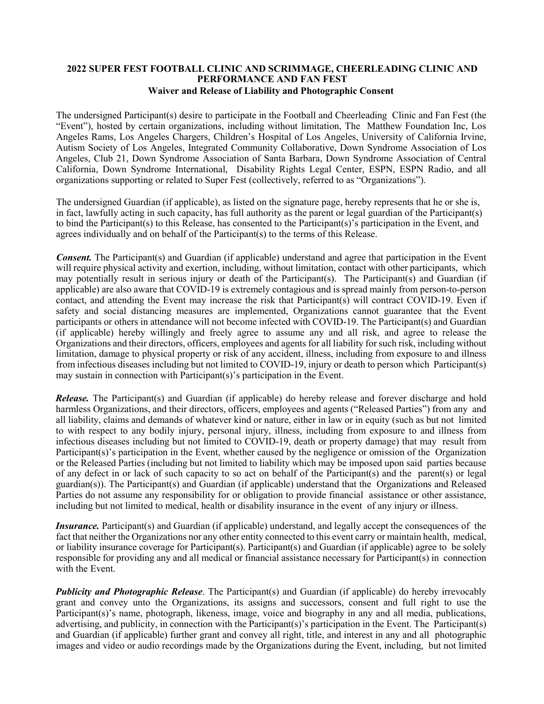## **2022 SUPER FEST FOOTBALL CLINIC AND SCRIMMAGE, CHEERLEADING CLINIC AND PERFORMANCE AND FAN FEST Waiver and Release of Liability and Photographic Consent**

The undersigned Participant(s) desire to participate in the Football and Cheerleading Clinic and Fan Fest (the "Event"), hosted by certain organizations, including without limitation, The Matthew Foundation Inc, Los Angeles Rams, Los Angeles Chargers, Children's Hospital of Los Angeles, University of California Irvine, Autism Society of Los Angeles, Integrated Community Collaborative, Down Syndrome Association of Los Angeles, Club 21, Down Syndrome Association of Santa Barbara, Down Syndrome Association of Central California, Down Syndrome International, Disability Rights Legal Center, ESPN, ESPN Radio, and all organizations supporting or related to Super Fest (collectively, referred to as "Organizations").

The undersigned Guardian (if applicable), as listed on the signature page, hereby represents that he or she is, in fact, lawfully acting in such capacity, has full authority as the parent or legal guardian of the Participant(s) to bind the Participant(s) to this Release, has consented to the Participant(s)'s participation in the Event, and agrees individually and on behalf of the Participant(s) to the terms of this Release.

*Consent.* The Participant(s) and Guardian (if applicable) understand and agree that participation in the Event will require physical activity and exertion, including, without limitation, contact with other participants, which may potentially result in serious injury or death of the Participant(s). The Participant(s) and Guardian (if applicable) are also aware that COVID-19 is extremely contagious and is spread mainly from person-to-person contact, and attending the Event may increase the risk that Participant(s) will contract COVID-19. Even if safety and social distancing measures are implemented, Organizations cannot guarantee that the Event participants or others in attendance will not become infected with COVID-19. The Participant(s) and Guardian (if applicable) hereby willingly and freely agree to assume any and all risk, and agree to release the Organizations and their directors, officers, employees and agents for all liability for such risk, including without limitation, damage to physical property or risk of any accident, illness, including from exposure to and illness from infectious diseases including but not limited to COVID-19, injury or death to person which Participant(s) may sustain in connection with Participant(s)'s participation in the Event.

*Release.* The Participant(s) and Guardian (if applicable) do hereby release and forever discharge and hold harmless Organizations, and their directors, officers, employees and agents ("Released Parties") from any and all liability, claims and demands of whatever kind or nature, either in law or in equity (such as but not limited to with respect to any bodily injury, personal injury, illness, including from exposure to and illness from infectious diseases including but not limited to COVID-19, death or property damage) that may result from Participant(s)'s participation in the Event, whether caused by the negligence or omission of the Organization or the Released Parties (including but not limited to liability which may be imposed upon said parties because of any defect in or lack of such capacity to so act on behalf of the Participant(s) and the parent(s) or legal guardian(s)). The Participant(s) and Guardian (if applicable) understand that the Organizations and Released Parties do not assume any responsibility for or obligation to provide financial assistance or other assistance, including but not limited to medical, health or disability insurance in the event of any injury or illness.

*Insurance*. Participant(s) and Guardian (if applicable) understand, and legally accept the consequences of the fact that neither the Organizations nor any other entity connected to this event carry or maintain health, medical, or liability insurance coverage for Participant(s). Participant(s) and Guardian (if applicable) agree to be solely responsible for providing any and all medical or financial assistance necessary for Participant(s) in connection with the Event.

*Publicity and Photographic Release*. The Participant(s) and Guardian (if applicable) do hereby irrevocably grant and convey unto the Organizations, its assigns and successors, consent and full right to use the Participant(s)'s name, photograph, likeness, image, voice and biography in any and all media, publications, advertising, and publicity, in connection with the Participant(s)'s participation in the Event. The Participant(s) and Guardian (if applicable) further grant and convey all right, title, and interest in any and all photographic images and video or audio recordings made by the Organizations during the Event, including, but not limited